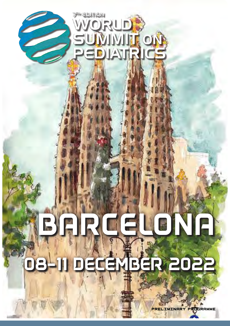

# 08-11 DECEMBER 2022 BARCELONA

PRELIMINARY PROGRAMME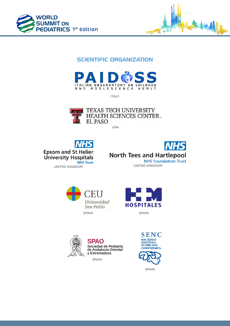



## SCIENTIFIC ORGANIZATION



ITALY



TEXAS TECH UNIVERSITY HEALTH SCIENCES CENTER. **EL PASO** 

USA













SPAIN



SPAIN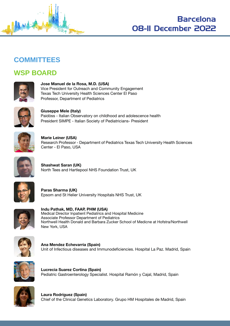



## **COMMITTEES**

## **WSP BOARD**



**Jose Manuel de la Rosa, M.D. (USA)** Vice President for Outreach and Community Engagement Texas Tech University Health Sciences Center El Paso Professor, Department of Pediatrics



**Giuseppe Mele (Italy)** Paidòss - Italian Observatory on childhood and adolescence health President SIMPE - Italian Society of Pediatricians- President



**Marie Leiner (USA)** Research Professor - Department of Pediatrics Texas Tech University Health Sciences Center - El Paso, USA



**Shashwat Saran (UK)** North Tees and Hartlepool NHS Foundation Trust, UK



**Paras Sharma (UK)** Epsom and St Helier University Hospitals NHS Trust, UK



**Indu Pathak, MD, FAAP, PHM (USA)** Medical Director Inpatient Pediatrics and Hospital Medicine Associate Professor Department of Pediatrics Northwell Health Donald and Barbara Zucker School of Medicne at Hofstra/Northwell New York, USA



**Ana Mendez Echevarria (Spain)** Unit of Infectious diseases and Immunodeficiencies. Hospital La Paz. Madrid, Spain



**Lucrecia Suarez Cortina (Spain)** Pediatric Gastroenterology Specialist. Hospital Ramón y Cajal, Madrid, Spain



**Laura Rodríguez (Spain)** Chief of the Clinical Genetics Laboratory. Grupo HM Hospitales de Madrid, Spain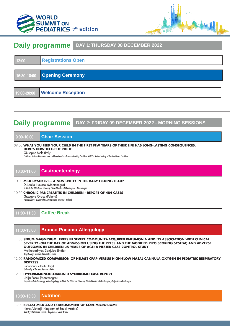



## **Daily programme DAY 1: THURSDAY 08 DECEMBER 2022**



## **Daily programme DAY 2: FRIDAY 09 DECEMBER 2022 - MORNING SESSIONS**

## **9:00-10:00 Chair Session**

#### 09:00 **WHAT YOU FEED YOUR CHILD IN THE FIRST FEW YEARS OF THEIR LIFE HAS LONG-LASTING CONSEQUENCES. HERE'S HOW TO GET IT RIGHT**

Giuseppe Mele (Italy)

*Paidòss - Italian Observatory on childhood and adolescence health, President SIMPE - Italian Society of Pediatricians- President*

## **10:00-11:00 Gastroenterology**

#### 10:00 **MILK DYSLIKERS – A NEW ENTITY IN THE BABY FEEDING FIELD?** Dušanka Novosel (Montenegro)

*Institute for Childhood Diseases, Clinical Centre of Montengero - Montenegro*

#### 10:30 **CHRONIC PANCREATITIS IN CHILDREN - REPORT OF 484 CASES**

Grzegorz Oracz (Poland)

*The Children's Memorial Health Institute, Warsaw - Poland*

**11:00-11:30 Coffee Break**

## **11:30-13:00 Bronco-Pneumo-Allergology**

#### 11:30 **SERUM MAGNESIUM LEVELS IN SEVERE COMMUNITY-ACQUIRED PNEUMONIA AND ITS ASSOCIATION WITH CLINICAL SEVERITY (ON THE DAY OF ADMISSION USING THE PRESS AND THE MODIFIED PIRO SCORING SYSTEM) AND ADVERSE OUTCOMES IN CHILDREN <5 YEARS OF AGE: A NESTED CASE-CONTROL STUDY** Mukhopadhyay Sanjukta (India)

*King George Medical University - India*

12:00 **RANDOMIZED COMPARISON OF HELMET CPAP VERSUS HIGH-FLOW NASAL CANNULA OXYGEN IN PEDIATRIC RESPIRATORY DISTRESS**

Giovanna Vitaliti (Italy) *University of Ferrara, Ferrara - Italy*

#### 12:30 **HYPERIMMUNOGLOBULIN D SYNDROME: CASE REPORT**

Lidija Pocek (Montenegro)

*Department of Pulmology and Allergology, Institute for Children' Diseases, Clinical Center of Montenegro, Podgorica - Montenegro*

## **13:00-13:30 Nutrition**

13:00 **BREAST MILK AND ESTABLISHMENT OF CORE MICROBIOME** Nora Alkharji (Kingdom of Saudi Arabia)

*Ministry of National Guard - Kingdom of Saudi Arabia*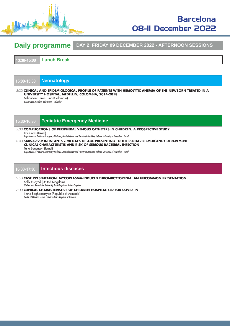

# Barcelona 08-11 December 2022

## **Daily programme DAY 2: FRIDAY 09 DECEMBER 2022 - AFTERNOON SESSIONS**

**13:30-15:00 Lunch Break**

|  |  |  | 15:00-15:30 |  |
|--|--|--|-------------|--|

**15:00-15:30 Neonatology**

15:00 **CLINICAL AND EPIDEMIOLOGICAL PROFILE OF PATIENTS WITH HEMOLYTIC ANEMIA OF THE NEWBORN TREATED IN A UNIVERSITY HOSPITAL, MEDELLIN, COLOMBIA, 2014-2018**

Sebastian Ceron Luna (Colombia) *Universidad Pontificia Bolivariana - Colombia*

## **15:30-16:30 Pediatric Emergency Medicine**

#### 15:30 **COMPLICATIONS OF PERIPHERAL VENOUS CATHETERS IN CHILDREN. A PROSPECTIVE STUDY** Itai Gross (Israel)

*Department of Pediatric Emergency Medicine, Medical Center and Faculty of Medicine, Hebrew University of Jerusalem - Israel*

16:00 **SARS-CoV-2 IN INFANTS < 90 DAYS OF AGE PRESENTING TO THE PEDIATRIC EMERGENCY DEPARTMENT: CLINICAL CHARACTERISTIS AND RISK OF SERIOUS BACTERIAL INFECTION**

Talia Benenson (Israel)

*Department of Pediatric Emergency Medicine, Medical Center and Faculty of Medicine, Hebrew University of Jerusalem - Israel*

## **16:30-17:30 Infectious diseases**

16:30 **CASE PRESENTATION: MYCOPLASMA-INDUCED THROMBCYTOPENIA: AN UNCOMMON PRESENTATION** Sally Elsayed (United Kingdom)

*Chelsea and Westminster University Trust Hospitals - United Kingdom*

#### 17:00 **CLINICAL CHARACTERISTICS OF CHILDREN HOSPITALIZED FOR COVID-19**

Nune Baghdasaryan (Republic of Armenia) *Health of Children Center. Pediatric clinic - Republic of Armenia*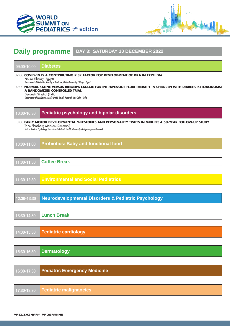



# **Daily programme DAY 3: SATURDAY 10 DECEMBER 2022**

| 09:00-10:00                                                                                                                                                                                                                                                                                                                                                                                                                                                   | <b>Diabetes</b>                                                                                                                                                                                                                            |  |  |  |  |  |
|---------------------------------------------------------------------------------------------------------------------------------------------------------------------------------------------------------------------------------------------------------------------------------------------------------------------------------------------------------------------------------------------------------------------------------------------------------------|--------------------------------------------------------------------------------------------------------------------------------------------------------------------------------------------------------------------------------------------|--|--|--|--|--|
| 09:00 COVID-19 IS A CONTRIBUTING RISK FACTOR FOR DEVELOPMENT OF DKA IN TYPEI DM<br>Noura Elbakry (Egypt)<br>Department of Pediatrics, Faculty of Medicine, Minia University, ElMinya - Egypt<br>09:00 NORMAL SALINE VERSUS RINGER'S LACTATE FOR INTRAVENOUS FLUID THERAPY IN CHILDREN WITH DIABETIC KETOACIDOSIS:<br>A RANDOMIZED CONTROLLED TRIAL<br>Devanshi Singhal (India)<br>Department of Paediatrics, Apollo Cradle Royale Hospital, New Delhi - India |                                                                                                                                                                                                                                            |  |  |  |  |  |
| 10:00-10:30                                                                                                                                                                                                                                                                                                                                                                                                                                                   | <b>Pediatric psychology and bipolar disorders</b>                                                                                                                                                                                          |  |  |  |  |  |
|                                                                                                                                                                                                                                                                                                                                                                                                                                                               | 10:00 EARLY MOTOR DEVELOPMENTAL MILESTONES AND PERSONALITY TRAITS IN MIDLIFE: A 50-YEAR FOLLOW-UP STUDY<br>Trine Flensborg-Madsen (Denmark)<br>Unit of Medical Psychology, Department of Public Health, University of Copenhagen - Denmark |  |  |  |  |  |
| 13:00-11:00                                                                                                                                                                                                                                                                                                                                                                                                                                                   | <b>Probiotics: Baby and functional food</b>                                                                                                                                                                                                |  |  |  |  |  |
|                                                                                                                                                                                                                                                                                                                                                                                                                                                               |                                                                                                                                                                                                                                            |  |  |  |  |  |
| 11:00-11:30                                                                                                                                                                                                                                                                                                                                                                                                                                                   | <b>Coffee Break</b>                                                                                                                                                                                                                        |  |  |  |  |  |
|                                                                                                                                                                                                                                                                                                                                                                                                                                                               |                                                                                                                                                                                                                                            |  |  |  |  |  |
| 11:30-12:30                                                                                                                                                                                                                                                                                                                                                                                                                                                   | <b>Environmental and Social Pediatrics</b>                                                                                                                                                                                                 |  |  |  |  |  |
|                                                                                                                                                                                                                                                                                                                                                                                                                                                               |                                                                                                                                                                                                                                            |  |  |  |  |  |
| 12:30-13:30                                                                                                                                                                                                                                                                                                                                                                                                                                                   | <b>Neurodevelopmental Disorders &amp; Pediatric Psychology</b>                                                                                                                                                                             |  |  |  |  |  |
|                                                                                                                                                                                                                                                                                                                                                                                                                                                               |                                                                                                                                                                                                                                            |  |  |  |  |  |
| 13:30-14:30                                                                                                                                                                                                                                                                                                                                                                                                                                                   | <b>Lunch Break</b>                                                                                                                                                                                                                         |  |  |  |  |  |
|                                                                                                                                                                                                                                                                                                                                                                                                                                                               |                                                                                                                                                                                                                                            |  |  |  |  |  |
| 14:30-15:30                                                                                                                                                                                                                                                                                                                                                                                                                                                   | <b>Pediatric cardiology</b>                                                                                                                                                                                                                |  |  |  |  |  |
|                                                                                                                                                                                                                                                                                                                                                                                                                                                               |                                                                                                                                                                                                                                            |  |  |  |  |  |
| 15:30-16:30                                                                                                                                                                                                                                                                                                                                                                                                                                                   | <b>Dermatology</b>                                                                                                                                                                                                                         |  |  |  |  |  |
|                                                                                                                                                                                                                                                                                                                                                                                                                                                               |                                                                                                                                                                                                                                            |  |  |  |  |  |
| 16:30-17:30                                                                                                                                                                                                                                                                                                                                                                                                                                                   | <b>Pediatric Emergency Medicine</b>                                                                                                                                                                                                        |  |  |  |  |  |
|                                                                                                                                                                                                                                                                                                                                                                                                                                                               |                                                                                                                                                                                                                                            |  |  |  |  |  |
| 17:30-18:30                                                                                                                                                                                                                                                                                                                                                                                                                                                   | <b>Pediatric malignancies</b>                                                                                                                                                                                                              |  |  |  |  |  |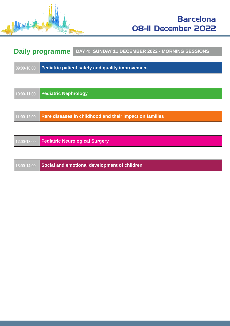

# **Daily programme** DAY 4: SUNDAY 11 DECEMBER 2022 - MORNING SESSIONS

| 09:00-10:00<br>Pediatric patient safety and quality improvement |
|-----------------------------------------------------------------|
|-----------------------------------------------------------------|

| 10:00-11:00 | <b>Pediatric Nephrology</b>                             |
|-------------|---------------------------------------------------------|
|             |                                                         |
| 11:00-12:00 | Rare diseases in childhood and their impact on families |
|             |                                                         |
| 12:00-13:00 | <b>Pediatric Neurological Surgery</b>                   |
|             |                                                         |
| 13:00-14:00 | Social and emotional development of children            |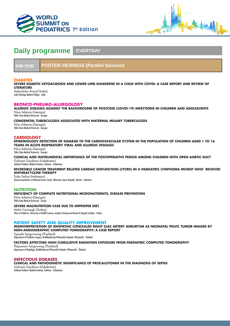



## **Daily programme EVERYDAY**

**9:00-15:00 POSTER VIEWINGS (Parallel Session)**

#### **DIABETES**

**SEVERE DIABETIC KETOACIDOSIS AND LOWER LIMB GANGRENE IN A CHILD WITH COVID: A CASE REPORT AND REVIEW OF LITERATURE**

Aakanksha Anand (India) *Lady Hardinge Medical College - India*

#### **BRONCO-PNEUMO-ALLERGOLOGY**

**ALLERGIC DISEASES AGAINST THE BACKGROUND OF POSTCOID (COVID-19) INFECTIONS IN CHILDREN AND ADOLESCENTS** Nino Adamia (Georgia) *Tbilisi State Medical University - Georgia*

## **CONGENITAL TUBERCULOSIS ASSOCIATED WITH MATERNAL MILIARY TUBERCULOSIS**

Nino Adamia (Georgia) *Tbilisi State Medical University - Georgia*

## **CARDIOLOGY**

**EPIDEMIOLOGY DETECTION OF DAMAGE TO THE CARDIOVASCULAR SYSTEM IN THE POPULATION OF CHILDREN AGED 1 TO 16 YEARS IN ACUTE RESPIRATORY VIRAL AND ALLERGIC DISEASES**

Nino Adamia (Georgia) *Tbilisi State Medical University - Georgia*

**CLINICAL AND INSTRUMENTAL IMPORTANCE OF THE POSTOPERATIVE PERIOD AMONG CHILDREN WITH OPEN AORTIC DUCT** Gulnoza Goyibova (Uzbekistan) *Tashkent Pediatric Medical Institute, Tashkent - Uzbekistan*

**REVERSIBLE CANCER TREATMENT RELATED CARDIAC DISFUNCTION (CTCRD) IN A PAEDIATRIC LYMPHOMA PATIENT WHO RECEIVED ANTHRACYCLINE THERAPY**

Siska Solina (Indonesia) *General practitioner at National Cancer Center- Dharmais Cancer Hospital, Jakarta - Indonesia*

## **NUTRITION**

**DEFICIENCY OF COMPLETE NUTRITIONAL MICRONUTRIENTS, DISEASE PREVENTION**

Nino Adamia (Georgia) *Tbilisi State Medical University - Georgi*

#### **SEVERE MALNUTRITION CASE DUE TO IMPROPER DIET**

Mahir Cevizoglu (Turkey) *Clinic of Pediatrics, University of Health Sciences, Antalya Training and Research Hospital, Antalya - Turkey*

## **PATIENT SAFETY AND QUALITY IMPROVEMENT**

**MISINTERPRETATION OF IDIOPATHIC CONCEALED RIGHT ILIAC ARTERY ANEURYSM AS NEONATAL PELVIC TUMOR IMAGED BY NON-ANGIOGRAPHIC COMPUTED TOMOGRAPHY: A CASE REPORT**

Tipsuda Tangsriwong (Thailand) *Department of Paediatric Surgery, Buddhachinaraj Phitsanulok Hospital, Phitsanulok - Thailand*

**FACTORS AFFECTING HIGH CUMULATIVE RADIATION EXPOSURE FROM PAEDIATRIC COMPUTED TOMOGRAPHY** Thipsumon Tangsiwong (Thailand) *Department of Radiology, Buddhachinaraj Phitsanulok Hospital, Phitsanulok - Thailand*

**INFECTIOUS DISEASES CLINICAL AND PATHOGENETIC SIGNIFICANCE OF PROCALCITONIN IN THE DIAGNOSIS OF SEPSIS** Gulnoza Goyibova (Uzbekistan) *Tashkent Pediatric Medical Institute, Tashkent - Uzbekistan*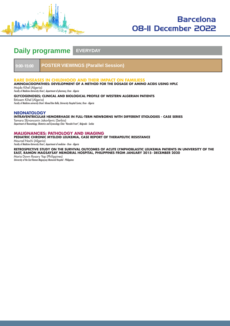

# Barcelona 08-11 December 2022

## **Daily programme EVERYDAY**

**9:00-15:00 POSTER VIEWINGS (Parallel Session)**

## **RARE DISEASES IN CHILDHOOD AND THEIR IMPACT ON FAMILIESS**

**AMINOACIDOPATHIES: DEVELOPMENT OF A METHOD FOR THE DOSAGE OF AMINO ACIDS USING HPLC**

Majda Kihel (Algeria) *Faculty of Medicine-University Oran1, department of pharmacy, Oran - Algeria*

#### **GLYCOGENOSES; CLINICAL AND BIOLOGICAL PROFILE OF WESTERN ALGERIAN PATIENTS**

Ibtissem Kihel (Algeria)

*Faculty of Medicine university Oran1 Ahmed Ben Bella, University Hospital Center, Oran - Algeria*

## **NEONATOLOGY**

**INTRAVENTRICULAR HEMORRHAGE IN FULL-TERM NEWBORNS WITH DIFFERENT ETIOLOGIES - CASE SERIES**

Tamara Sljivancanin Jakovljevic (Serbia) *Department of Neonatology, Obstetrics and Gynecology Clinic "Narodni Front", Belgrade - Serbia*

## **MALIGNANCIES: PATHOLOGY AND IMAGING**

**PEDIATRIC CHRONIC MYELOID LEUKEMIA, CASE REPORT OF THERAPEUTIC RESISTANCE**

Mourad Nachi (Algeria) *Faculty of Medicine-University Oran1, department of medicine - Oran - Algeria*

**RETROSPECTIVE STUDY ON THE SURVIVAL OUTCOMES OF ACUTE LYMPHOBLASTIC LEUKEMIA PATIENTS IN UNIVERSITY OF THE EAST, RAMON MAGSAYSAY MEMORIAL HOSPITAL, PHILIPPINES FROM JANUARY 2015- DECEMBER 2020**

Maria Dawn Rosary Yap (Philippines) *University of the East Ramon Magsaysay Memorial Hospital - Philippines*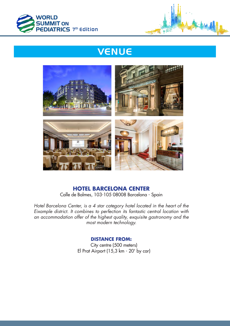



# **VENUE**



## **HOTEL BARCELONA CENTER**

Calle de Balmes, 103-105 08008 Barcelona - Spain

*Hotel Barcelona Center, is a 4 star category hotel located in the heart of the Eixample district. It combines to perfection its fantastic central location with an accommodation offer of the highest quality, exquisite gastronomy and the most modern technology.*

## **DISTANCE FROM:**

 City centre (500 meters) El Prat Airport (15,3 km - 20' by car)